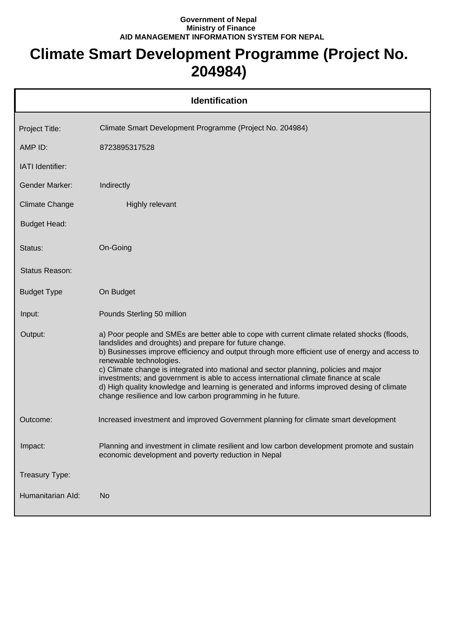## **Government of Nepal Ministry of Finance AID MANAGEMENT INFORMATION SYSTEM FOR NEPAL**

## **Climate Smart Development Programme (Project No. 204984)**

| <b>Identification</b> |                                                                                                                                                                                                                                                                                                                                                                                                                                                                                                                                                                                                                                   |  |
|-----------------------|-----------------------------------------------------------------------------------------------------------------------------------------------------------------------------------------------------------------------------------------------------------------------------------------------------------------------------------------------------------------------------------------------------------------------------------------------------------------------------------------------------------------------------------------------------------------------------------------------------------------------------------|--|
| Project Title:        | Climate Smart Development Programme (Project No. 204984)                                                                                                                                                                                                                                                                                                                                                                                                                                                                                                                                                                          |  |
| AMP ID:               | 8723895317528                                                                                                                                                                                                                                                                                                                                                                                                                                                                                                                                                                                                                     |  |
| IATI Identifier:      |                                                                                                                                                                                                                                                                                                                                                                                                                                                                                                                                                                                                                                   |  |
| <b>Gender Marker:</b> | Indirectly                                                                                                                                                                                                                                                                                                                                                                                                                                                                                                                                                                                                                        |  |
| <b>Climate Change</b> | <b>Highly relevant</b>                                                                                                                                                                                                                                                                                                                                                                                                                                                                                                                                                                                                            |  |
| <b>Budget Head:</b>   |                                                                                                                                                                                                                                                                                                                                                                                                                                                                                                                                                                                                                                   |  |
| Status:               | On-Going                                                                                                                                                                                                                                                                                                                                                                                                                                                                                                                                                                                                                          |  |
| Status Reason:        |                                                                                                                                                                                                                                                                                                                                                                                                                                                                                                                                                                                                                                   |  |
| <b>Budget Type</b>    | On Budget                                                                                                                                                                                                                                                                                                                                                                                                                                                                                                                                                                                                                         |  |
| Input:                | Pounds Sterling 50 million                                                                                                                                                                                                                                                                                                                                                                                                                                                                                                                                                                                                        |  |
| Output:               | a) Poor people and SMEs are better able to cope with current climate related shocks (floods,<br>landslides and droughts) and prepare for future change.<br>b) Businesses improve efficiency and output through more efficient use of energy and access to<br>renewable technologies.<br>c) Climate change is integrated into mational and sector planning, policies and major<br>investments; and government is able to access international climate finance at scale<br>d) High quality knowledge and learning is generated and informs improved desing of climate<br>change resilience and low carbon programming in he future. |  |
| Outcome:              | Increased investment and improved Government planning for climate smart development                                                                                                                                                                                                                                                                                                                                                                                                                                                                                                                                               |  |
| Impact:               | Planning and investment in climate resilient and low carbon development promote and sustain<br>economic development and poverty reduction in Nepal                                                                                                                                                                                                                                                                                                                                                                                                                                                                                |  |
| Treasury Type:        |                                                                                                                                                                                                                                                                                                                                                                                                                                                                                                                                                                                                                                   |  |
| Humanitarian Ald:     | <b>No</b>                                                                                                                                                                                                                                                                                                                                                                                                                                                                                                                                                                                                                         |  |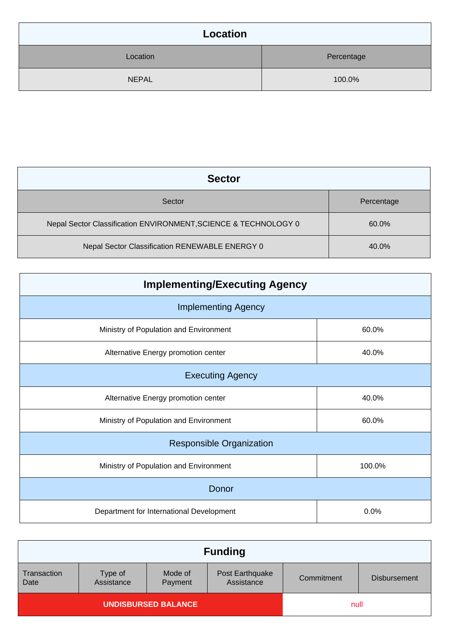| Location     |            |  |
|--------------|------------|--|
| Location     | Percentage |  |
| <b>NEPAL</b> | 100.0%     |  |

| <b>Sector</b>                                                   |            |
|-----------------------------------------------------------------|------------|
| Sector                                                          | Percentage |
| Nepal Sector Classification ENVIRONMENT, SCIENCE & TECHNOLOGY 0 | 60.0%      |
| Nepal Sector Classification RENEWABLE ENERGY 0                  | 40.0%      |

| <b>Implementing/Executing Agency</b>     |        |  |
|------------------------------------------|--------|--|
| <b>Implementing Agency</b>               |        |  |
| Ministry of Population and Environment   | 60.0%  |  |
| Alternative Energy promotion center      | 40.0%  |  |
| <b>Executing Agency</b>                  |        |  |
| Alternative Energy promotion center      | 40.0%  |  |
| Ministry of Population and Environment   | 60.0%  |  |
| <b>Responsible Organization</b>          |        |  |
| Ministry of Population and Environment   | 100.0% |  |
| Donor                                    |        |  |
| Department for International Development | 0.0%   |  |

|                            |                       |                    | <b>Funding</b>                |            |                     |
|----------------------------|-----------------------|--------------------|-------------------------------|------------|---------------------|
| <b>Transaction</b><br>Date | Type of<br>Assistance | Mode of<br>Payment | Post Earthquake<br>Assistance | Commitment | <b>Disbursement</b> |
| <b>UNDISBURSED BALANCE</b> |                       |                    | null                          |            |                     |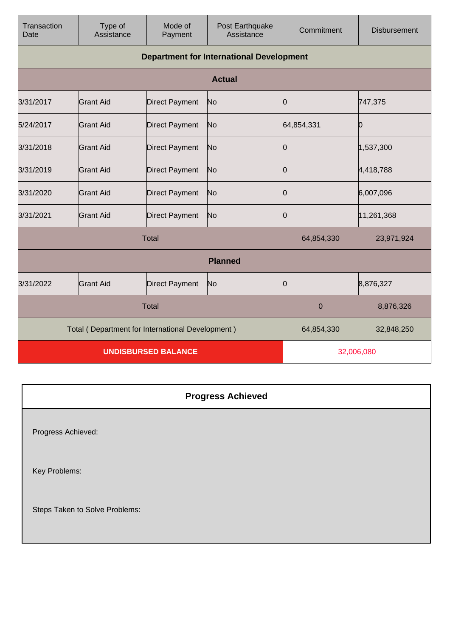| Transaction<br>Date                              | Type of<br>Assistance                           | Mode of<br>Payment    | Post Earthquake<br>Assistance | Commitment | <b>Disbursement</b> |
|--------------------------------------------------|-------------------------------------------------|-----------------------|-------------------------------|------------|---------------------|
|                                                  | <b>Department for International Development</b> |                       |                               |            |                     |
|                                                  |                                                 |                       | <b>Actual</b>                 |            |                     |
| 3/31/2017                                        | <b>Grant Aid</b>                                | <b>Direct Payment</b> | No                            | 0          | 747,375             |
| 5/24/2017                                        | Grant Aid                                       | <b>Direct Payment</b> | No                            | 64,854,331 | Ю                   |
| 3/31/2018                                        | <b>Grant Aid</b>                                | <b>Direct Payment</b> | No                            | Ю          | 1,537,300           |
| 3/31/2019                                        | <b>Grant Aid</b>                                | <b>Direct Payment</b> | No                            | 10         | 4,418,788           |
| 3/31/2020                                        | <b>Grant Aid</b>                                | <b>Direct Payment</b> | No                            | 0          | 6,007,096           |
| 3/31/2021                                        | <b>Grant Aid</b>                                | <b>Direct Payment</b> | No                            | 10         | 11,261,368          |
| <b>Total</b>                                     |                                                 |                       | 64,854,330                    | 23,971,924 |                     |
| <b>Planned</b>                                   |                                                 |                       |                               |            |                     |
| 3/31/2022                                        | <b>Grant Aid</b>                                | <b>Direct Payment</b> | No                            | 0          | 8,876,327           |
| <b>Total</b>                                     |                                                 |                       | $\mathbf 0$                   | 8,876,326  |                     |
| Total (Department for International Development) |                                                 |                       | 64,854,330                    | 32,848,250 |                     |
| <b>UNDISBURSED BALANCE</b>                       |                                                 |                       | 32,006,080                    |            |                     |

|                                | <b>Progress Achieved</b> |
|--------------------------------|--------------------------|
| Progress Achieved:             |                          |
| Key Problems:                  |                          |
| Steps Taken to Solve Problems: |                          |
|                                |                          |